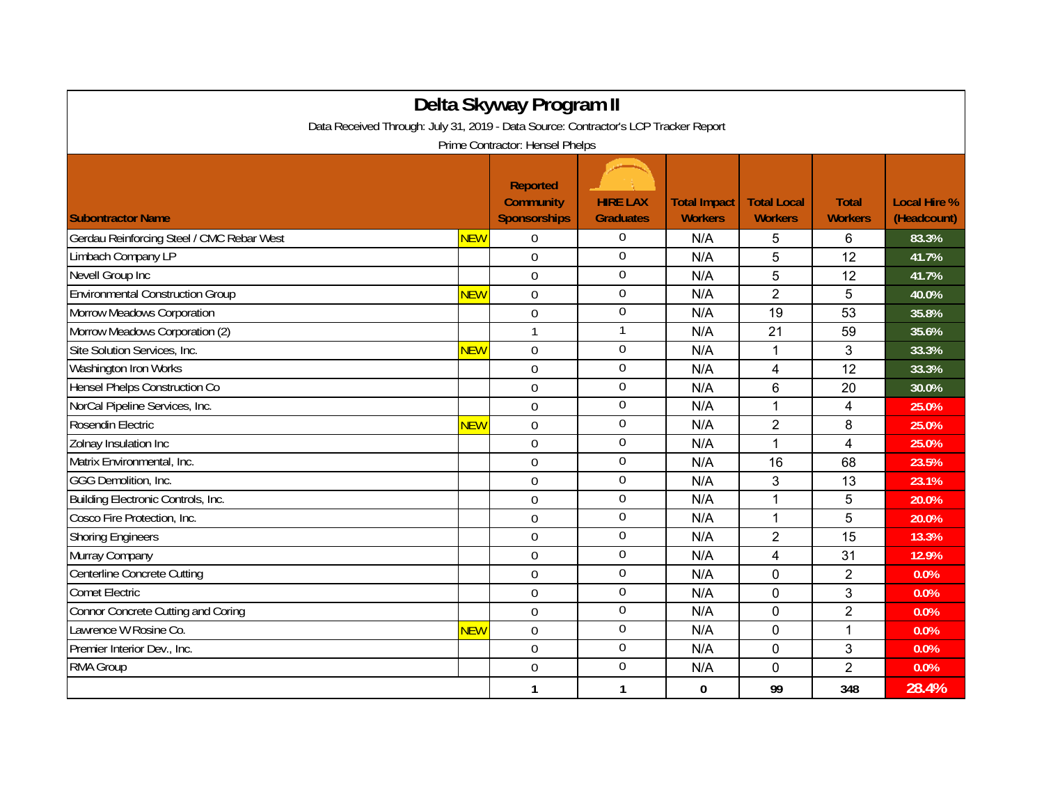| Delta Skyway Program II<br>Data Received Through: July 31, 2019 - Data Source: Contractor's LCP Tracker Report |            |                                                            |                                     |                                       |                                      |                                |                                    |  |  |  |  |  |
|----------------------------------------------------------------------------------------------------------------|------------|------------------------------------------------------------|-------------------------------------|---------------------------------------|--------------------------------------|--------------------------------|------------------------------------|--|--|--|--|--|
| Prime Contractor: Hensel Phelps                                                                                |            |                                                            |                                     |                                       |                                      |                                |                                    |  |  |  |  |  |
| <b>Subontractor Name</b>                                                                                       |            | <b>Reported</b><br><b>Community</b><br><b>Sponsorships</b> | <b>HIRE LAX</b><br><b>Graduates</b> | <b>Total Impact</b><br><b>Workers</b> | <b>Total Local</b><br><b>Workers</b> | <b>Total</b><br><b>Workers</b> | <b>Local Hire %</b><br>(Headcount) |  |  |  |  |  |
| Gerdau Reinforcing Steel / CMC Rebar West                                                                      | <b>NEW</b> | $\Omega$                                                   | $\mathbf 0$                         | N/A                                   | 5                                    | 6                              | 83.3%                              |  |  |  |  |  |
| Limbach Company LP                                                                                             |            | $\overline{0}$                                             | $\mathbf 0$                         | N/A                                   | 5                                    | 12                             | 41.7%                              |  |  |  |  |  |
| Nevell Group Inc                                                                                               |            | $\overline{0}$                                             | $\boldsymbol{0}$                    | N/A                                   | 5                                    | 12                             | 41.7%                              |  |  |  |  |  |
| <b>Environmental Construction Group</b>                                                                        | <b>NEW</b> | $\overline{0}$                                             | $\overline{0}$                      | N/A                                   | $\overline{2}$                       | 5                              | 40.0%                              |  |  |  |  |  |
| Morrow Meadows Corporation                                                                                     |            | $\overline{0}$                                             | $\boldsymbol{0}$                    | N/A                                   | 19                                   | 53                             | 35.8%                              |  |  |  |  |  |
| Morrow Meadows Corporation (2)                                                                                 |            | 1                                                          | $\mathbf{1}$                        | N/A                                   | 21                                   | 59                             | 35.6%                              |  |  |  |  |  |
| Site Solution Services, Inc.                                                                                   | <b>NEW</b> | $\overline{0}$                                             | $\mathbf 0$                         | N/A                                   | 1                                    | 3                              | 33.3%                              |  |  |  |  |  |
| Washington Iron Works                                                                                          |            | $\overline{0}$                                             | $\boldsymbol{0}$                    | N/A                                   | $\overline{4}$                       | 12                             | 33.3%                              |  |  |  |  |  |
| Hensel Phelps Construction Co                                                                                  |            | $\overline{0}$                                             | $\mathbf 0$                         | N/A                                   | 6                                    | 20                             | 30.0%                              |  |  |  |  |  |
| NorCal Pipeline Services, Inc.                                                                                 |            | $\overline{0}$                                             | $\mathbf 0$                         | N/A                                   | 1                                    | $\overline{\mathbf{4}}$        | 25.0%                              |  |  |  |  |  |
| Rosendin Electric                                                                                              | <b>NEW</b> | $\Omega$                                                   | $\mathbf 0$                         | N/A                                   | $\overline{2}$                       | 8                              | 25.0%                              |  |  |  |  |  |
| Zolnay Insulation Inc                                                                                          |            | $\overline{0}$                                             | $\mathbf 0$                         | N/A                                   | 1                                    | $\overline{4}$                 | 25.0%                              |  |  |  |  |  |
| Matrix Environmental, Inc.                                                                                     |            | $\overline{0}$                                             | $\overline{0}$                      | N/A                                   | 16                                   | 68                             | 23.5%                              |  |  |  |  |  |
| GGG Demolition, Inc.                                                                                           |            | $\overline{0}$                                             | $\mathbf 0$                         | N/A                                   | 3                                    | 13                             | 23.1%                              |  |  |  |  |  |
| Building Electronic Controls, Inc.                                                                             |            | $\overline{0}$                                             | $\boldsymbol{0}$                    | N/A                                   | $\mathbf{1}$                         | 5                              | 20.0%                              |  |  |  |  |  |
| Cosco Fire Protection, Inc.                                                                                    |            | $\overline{0}$                                             | $\mathbf 0$                         | N/A                                   | $\mathbf{1}$                         | 5                              | 20.0%                              |  |  |  |  |  |
| <b>Shoring Engineers</b>                                                                                       |            | $\Omega$                                                   | $\overline{0}$                      | N/A                                   | $\overline{2}$                       | 15                             | 13.3%                              |  |  |  |  |  |
| Murray Company                                                                                                 |            | $\Omega$                                                   | $\overline{0}$                      | N/A                                   | 4                                    | 31                             | 12.9%                              |  |  |  |  |  |
| Centerline Concrete Cutting                                                                                    |            | $\boldsymbol{0}$                                           | $\boldsymbol{0}$                    | N/A                                   | 0                                    | $\overline{2}$                 | 0.0%                               |  |  |  |  |  |
| <b>Comet Electric</b>                                                                                          |            | $\mathbf 0$                                                | $\boldsymbol{0}$                    | N/A                                   | $\mathbf 0$                          | 3                              | 0.0%                               |  |  |  |  |  |
| <b>Connor Concrete Cutting and Coring</b>                                                                      |            | $\overline{0}$                                             | $\mathbf 0$                         | N/A                                   | $\mathbf 0$                          | $\overline{2}$                 | 0.0%                               |  |  |  |  |  |
| Lawrence W Rosine Co.                                                                                          | <b>NEW</b> | $\overline{0}$                                             | $\boldsymbol{0}$                    | N/A                                   | 0                                    | 1                              | 0.0%                               |  |  |  |  |  |
| Premier Interior Dev., Inc.                                                                                    |            | $\overline{0}$                                             | $\overline{0}$                      | N/A                                   | 0                                    | 3                              | 0.0%                               |  |  |  |  |  |
| RMA Group                                                                                                      |            | $\mathbf 0$                                                | $\overline{0}$                      | N/A                                   | 0                                    | $\overline{2}$                 | 0.0%                               |  |  |  |  |  |
|                                                                                                                |            | 1                                                          | 1                                   | $\mathbf{0}$                          | 99                                   | 348                            | 28.4%                              |  |  |  |  |  |